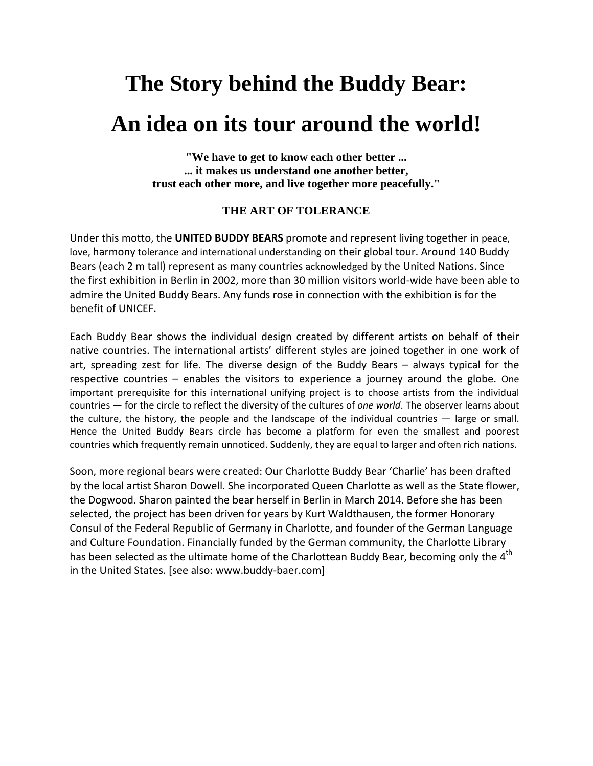## **The Story behind the Buddy Bear: An idea on its tour around the world!**

**"We have to get to know each other better ... ... it makes us understand one another better, trust each other more, and live together more peacefully."** 

## **THE ART OF TOLERANCE**

Under this motto, the **UNITED BUDDY BEARS** promote and represent living together in peace, love, harmony tolerance and international understanding on their global tour. Around 140 Buddy Bears (each 2 m tall) represent as many countries acknowledged by the United Nations. Since the first exhibition in Berlin in 2002, more than 30 million visitors world‐wide have been able to admire the United Buddy Bears. Any funds rose in connection with the exhibition is for the benefit of UNICEF.

Each Buddy Bear shows the individual design created by different artists on behalf of their native countries. The international artists' different styles are joined together in one work of art, spreading zest for life. The diverse design of the Buddy Bears – always typical for the respective countries – enables the visitors to experience a journey around the globe. One important prerequisite for this international unifying project is to choose artists from the individual countries — for the circle to reflect the diversity of the cultures of *one world*. The observer learns about the culture, the history, the people and the landscape of the individual countries — large or small. Hence the United Buddy Bears circle has become a platform for even the smallest and poorest countries which frequently remain unnoticed. Suddenly, they are equal to larger and often rich nations.

Soon, more regional bears were created: Our Charlotte Buddy Bear 'Charlie' has been drafted by the local artist Sharon Dowell. She incorporated Queen Charlotte as well as the State flower, the Dogwood. Sharon painted the bear herself in Berlin in March 2014. Before she has been selected, the project has been driven for years by Kurt Waldthausen, the former Honorary Consul of the Federal Republic of Germany in Charlotte, and founder of the German Language and Culture Foundation. Financially funded by the German community, the Charlotte Library has been selected as the ultimate home of the Charlottean Buddy Bear, becoming only the 4<sup>th</sup> in the United States. [see also: www.buddy‐baer.com]